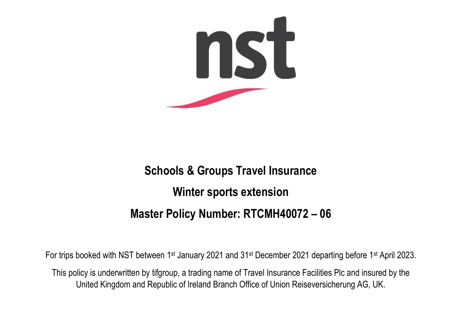

# **Schools & Groups Travel Insurance Winter sports extension Master Policy Number: RTCMH40072 – 06**

For trips booked with NST between 1st January 2021 and 31st December 2021 departing before 1st April 2023.

This policy is underwritten by tifgroup, a trading name of Travel Insurance Facilities Plc and insured by the United Kingdom and Republic of Ireland Branch Office of Union Reiseversicherung AG, UK.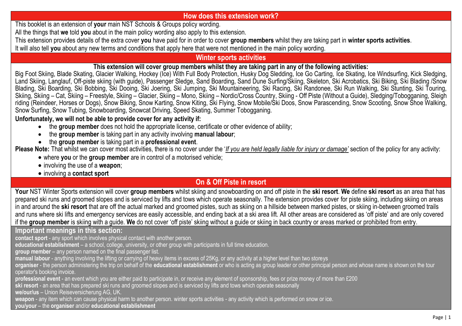### **How does this extension work?**

This booklet is an extension of **your** main NST Schools & Groups policy wording.

All the things that **we** told **you** about in the main policy wording also apply to this extension.

This extension provides details of the extra cover **you** have paid for in order to cover **group members** whilst they are taking part in **winter sports activities**.

It will also tell **you** about any new terms and conditions that apply here that were not mentioned in the main policy wording.

### **Winter sports activities**

### **This extension will cover group members whilst they are taking part in any of the following activities:**

Big Foot Skiing, Blade Skating, Glacier Walking, Hockey (Ice) With Full Body Protection, Husky Dog Sledding, Ice Go Carting, Ice Skating, Ice Windsurfing, Kick Sledging, Land Skiing, Langlauf, Off-piste skiing (with guide), Passenger Sledge, Sand Boarding, Sand Dune Surfing/Skiing, Skeleton, Ski Acrobatics, Ski Biking, Ski Blading /Snow Blading, Ski Boarding, Ski Bobbing, Ski Dooing, Ski Joering, Ski Jumping, Ski Mountaineering, Ski Racing, Ski Randonee, Ski Run Walking, Ski Stunting, Ski Touring, Skiing, Skiing – Cat, Škiing – Freestyle, Skiing – Glacier, Skiing – Mono, Skiing – Nordic/Cross Country, Skiing - Off Piste (Without a Guide), Sledging/Tobogganing, Sleigh riding (Reindeer, Horses or Dogs), Snow Biking, Snow Karting, Snow Kiting, Ski Flying, Snow Mobile/Ski Doos, Snow Parascending, Snow Scooting, Snow Shoe Walking, Snow Surfing, Snow Tubing, Snowboarding, Snowcat Driving, Speed Skating, Summer Tobogganing.

### **Unfortunately, we will not be able to provide cover for any activity if:**

- the **group member** does not hold the appropriate license, certificate or other evidence of ability;
- the **group member** is taking part in any activity involving **manual labour**;
- the **group member** is taking part in a **professional event**.

**Please Note:** That whilst we can cover most activities, there is no cover under the '*If you are held legally liable for injury or damage'* section of the policy for any activity:

- where **you** or the **group member** are in control of a motorised vehicle;
- involving the use of a **weapon**;
- involving a **contact sport**

### **On & Off Piste in resort**

**Your** NST Winter Sports extension will cover **group members** whilst skiing and snowboarding on and off piste in the **ski resort**. **We** define **ski resort** as an area that has prepared ski runs and groomed slopes and is serviced by lifts and tows which operate seasonally. The extension provides cover for piste skiing, including skiing on areas in and around the **ski resort** that are off the actual marked and groomed pistes, such as skiing on a hillside between marked pistes, or skiing in-between groomed trails and runs where ski lifts and emergency services are easily accessible, and ending back at a ski area lift. All other areas are considered as 'off piste' and are only covered if the **group member** is skiing with a guide. **We** do not cover 'off piste' skiing without a guide or skiing in back country or areas marked or prohibited from entry.

### **Important meanings in this section:**

**contact sport** - any sport which involves physical contact with another person.

**educational establishment** – a school, college, university, or other group with participants in full time education.

**group member** – any person named on the final passenger list.

**manual labour** - anything involving the lifting or carrying of heavy items in excess of 25Kg, or any activity at a higher level than two storeys

**organiser** - the person administering the trip on behalf of the **educational establishment** or who is acting as group leader or other principal person and whose name is shown on the tour operator's booking invoice.

**professional event** - an event which you are either paid to participate in, or receive any element of sponsorship, fees or prize money of more than £200

**ski resort** - an area that has prepared ski runs and groomed slopes and is serviced by lifts and tows which operate seasonally

**we/our/us** – Union Reiseversicherung AG, UK.

**weapon** - any item which can cause physical harm to another person. winter sports activities - any activity which is performed on snow or ice.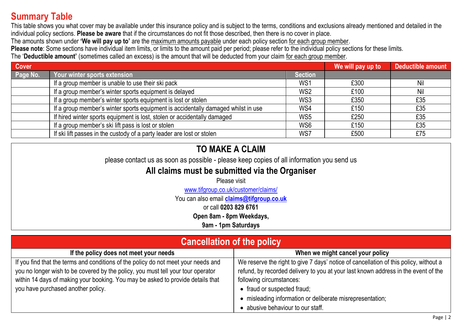## **Summary Table**

This table shows you what cover may be available under this insurance policy and is subject to the terms, conditions and exclusions already mentioned and detailed in the individual policy sections. **Please be aware** that if the circumstances do not fit those described, then there is no cover in place.

The amounts shown under **'We will pay up to'** are the maximum amounts payable under each policy section for each group member.

**Please note**: Some sections have individual item limits, or limits to the amount paid per period; please refer to the individual policy sections for these limits.

The '**Deductible amount'** (sometimes called an excess) is the amount that will be deducted from your claim for each group member.

| <b>Cover</b> |                                                                                   |                 | We will pay up to | Deductible amount |
|--------------|-----------------------------------------------------------------------------------|-----------------|-------------------|-------------------|
| Page No.     | <u>Your winter sports extension ,</u>                                             | <b>Section</b>  |                   |                   |
|              | If a group member is unable to use their ski pack                                 | WS <sub>1</sub> | £300              | Nil               |
|              | If a group member's winter sports equipment is delayed                            | WS <sub>2</sub> | £100              | Nil               |
|              | If a group member's winter sports equipment is lost or stolen                     | WS3             | £350              | £35               |
|              | If a group member's winter sports equipment is accidentally damaged whilst in use | WS4             | £150              | £35               |
|              | If hired winter sports equipment is lost, stolen or accidentally damaged          | WS5             | £250              | £35               |
|              | If a group member's ski lift pass is lost or stolen                               | WS6             | £150              | £35               |
|              | If ski lift passes in the custody of a party leader are lost or stolen            | WS7             | £500              | £75               |

## **TO MAKE A CLAIM**

please contact us as soon as possible - please keep copies of all information you send us

## **All claims must be submitted via the Organiser**

Please visit

[www.tifgroup.co.uk/c](http://www.tifgroup.co.uk/customer/claims/)ustomer/claims/

You can also email **[claims@tifgroup.co.uk](mailto:claims@tifgroup.co.uk)**

or call **0203 829 6761**

**Open 8am - 8pm Weekdays,**

**9am - 1pm Saturdays**

| <b>Cancellation of the policy</b>                                                  |                                                                                       |  |  |
|------------------------------------------------------------------------------------|---------------------------------------------------------------------------------------|--|--|
| If the policy does not meet your needs                                             | When we might cancel your policy                                                      |  |  |
| If you find that the terms and conditions of the policy do not meet your needs and | We reserve the right to give 7 days' notice of cancellation of this policy, without a |  |  |
| you no longer wish to be covered by the policy, you must tell your tour operator   | refund, by recorded delivery to you at your last known address in the event of the    |  |  |
| within 14 days of making your booking. You may be asked to provide details that    | following circumstances:                                                              |  |  |
| you have purchased another policy.                                                 | • fraud or suspected fraud;                                                           |  |  |
|                                                                                    | • misleading information or deliberate misrepresentation;                             |  |  |
|                                                                                    | • abusive behaviour to our staff.                                                     |  |  |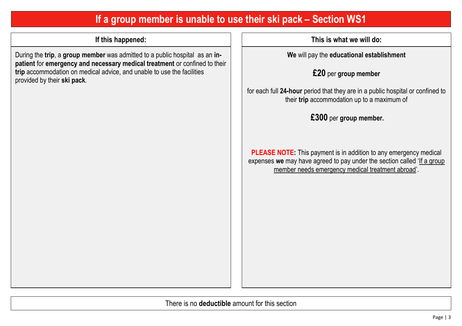## **If a group member is unable to use their ski pack – Section WS1**

During the **trip**, a **group member** was admitted to a public hospital as an **inpatient** for **emergency and necessary medical treatment** or confined to their **trip** accommodation on medical advice, and unable to use the facilities provided by their **ski pack***.*

**If this happened: This is what we will do:**

**We** will pay the **educational establishment**

**£20** per **group member**

for each full **24-hour** period that they are in a public hospital or confined to their **trip** accommodation up to a maximum of

**£300** per **group member.**

**PLEASE NOTE:** This payment is in addition to any emergency medical expenses we may have agreed to pay under the section called 'If a group member needs emergency medical treatment abroad'.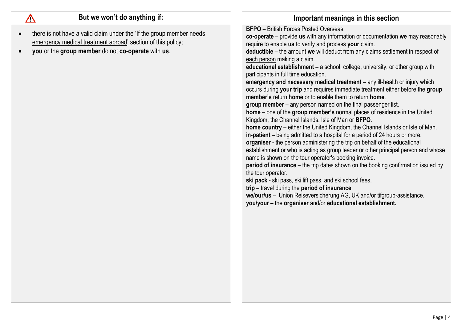| But we won't do anything if:                                                                                                                                                                           | Important meanings in this section                                                                                                                                                                                                                                                                                                                                                                                                                                                                                                                                                                                                                                                                                                                                                                                                                                                                                                                                                                                                                                                                                                                                                                                                                                                                                                                                                                                                                                                                                                                                                                                                |
|--------------------------------------------------------------------------------------------------------------------------------------------------------------------------------------------------------|-----------------------------------------------------------------------------------------------------------------------------------------------------------------------------------------------------------------------------------------------------------------------------------------------------------------------------------------------------------------------------------------------------------------------------------------------------------------------------------------------------------------------------------------------------------------------------------------------------------------------------------------------------------------------------------------------------------------------------------------------------------------------------------------------------------------------------------------------------------------------------------------------------------------------------------------------------------------------------------------------------------------------------------------------------------------------------------------------------------------------------------------------------------------------------------------------------------------------------------------------------------------------------------------------------------------------------------------------------------------------------------------------------------------------------------------------------------------------------------------------------------------------------------------------------------------------------------------------------------------------------------|
| there is not have a valid claim under the 'If the group member needs<br>$\bullet$<br>emergency medical treatment abroad' section of this policy;<br>you or the group member do not co-operate with us. | <b>BFPO</b> - British Forces Posted Overseas.<br>co-operate - provide us with any information or documentation we may reasonably<br>require to enable us to verify and process your claim.<br>deductible - the amount we will deduct from any claims settlement in respect of<br>each person making a claim.<br>educational establishment - a school, college, university, or other group with<br>participants in full time education.<br>emergency and necessary medical treatment - any ill-health or injury which<br>occurs during your trip and requires immediate treatment either before the group<br>member's return home or to enable them to return home.<br>group member – any person named on the final passenger list.<br>home - one of the group member's normal places of residence in the United<br>Kingdom, the Channel Islands, Isle of Man or BFPO.<br>home country – either the United Kingdom, the Channel Islands or Isle of Man.<br>in-patient - being admitted to a hospital for a period of 24 hours or more.<br>organiser - the person administering the trip on behalf of the educational<br>establishment or who is acting as group leader or other principal person and whose<br>name is shown on the tour operator's booking invoice.<br>period of insurance - the trip dates shown on the booking confirmation issued by<br>the tour operator.<br>ski pack - ski pass, ski lift pass, and ski school fees.<br>trip - travel during the period of insurance.<br>we/our/us - Union Reiseversicherung AG, UK and/or tifgroup-assistance.<br>you/your - the organiser and/or educational establishment. |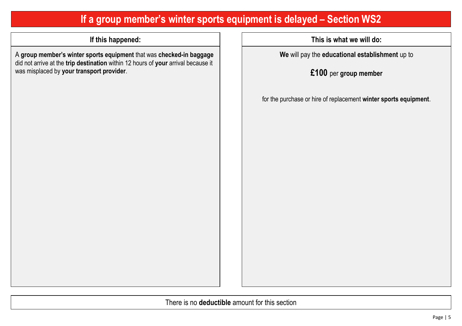## **If a group member's winter sports equipment is delayed – Section WS2**

A **group member's winter sports equipment** that was **checked-in baggage** did not arrive at the **trip destination** within 12 hours of **your** arrival because it was misplaced by **your transport provider**.

**If this happened: This is what we will do:**

**We** will pay the **educational establishment** up to

**£100** per **group member**

for the purchase or hire of replacement **winter sports equipment**.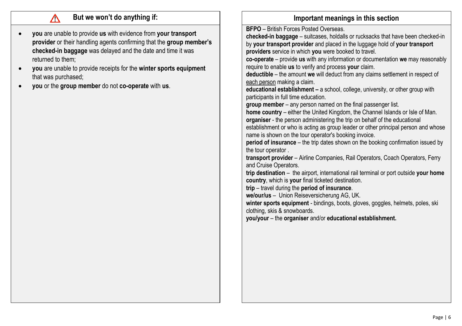- **you** are unable to provide **us** with evidence from **your transport provider** or their handling agents confirming that the **group member's checked-in baggage** was delayed and the date and time it was returned to them;
- **you** are unable to provide receipts for the **winter sports equipment** that was purchased;
- **you** or the **group member** do not **co-operate** with **us**.

## **But we won't do anything if: IMPO IMPORTANT IMPORTANT IMPORTANT IMPORTANT IMPORTANT IMPORTANT IMPORTANT IMPORTANT IMPORTANT IMPORTANT IMPORTANT IMPORTANT IMPORTANT IMPORTANT IMPORTANT IMPORTANT IMPORTANT IMPORTANT IMPOR**

**BFPO** – British Forces Posted Overseas. **checked-in baggage** – suitcases, holdalls or rucksacks that have been checked-in by **your transport provider** and placed in the luggage hold of **your transport providers** service in which **you** were booked to travel. **co-operate** – provide **us** with any information or documentation **we** may reasonably require to enable **us** to verify and process **your** claim. **deductible** – the amount **we** will deduct from any claims settlement in respect of each person making a claim. **educational establishment –** a school, college, university, or other group with participants in full time education. **group member** – any person named on the final passenger list. **home country** – either the United Kingdom, the Channel Islands or Isle of Man. **organiser** - the person administering the trip on behalf of the educational establishment or who is acting as group leader or other principal person and whose name is shown on the tour operator's booking invoice. **period of insurance** – the trip dates shown on the booking confirmation issued by the tour operator . **transport provider** – Airline Companies, Rail Operators, Coach Operators, Ferry and Cruise Operators. **trip destination** – the airport, international rail terminal or port outside **your home country**, which is **your** final ticketed destination. **trip** – travel during the **period of insurance**. **we/our/us** – Union Reiseversicherung AG, UK. winter sports equipment - bindings, boots, gloves, goggles, helmets, poles, ski clothing, skis & snowboards. **you/your** – the **organiser** and/or **educational establishment.**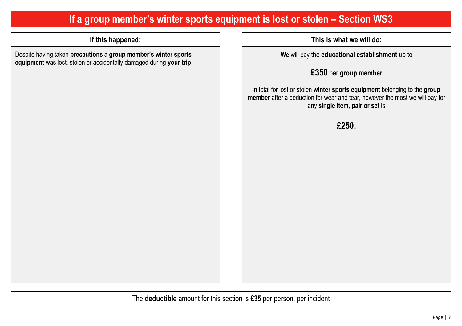## **If a group member's winter sports equipment is lost or stolen – Section WS3**

Despite having taken **precautions** a **group member's winter sports equipment** was lost, stolen or accidentally damaged during **your trip**.

**If this happened: This is what we will do:**

**We** will pay the **educational establishment** up to

**£350** per **group member**

in total for lost or stolen **winter sports equipment** belonging to the **group member** after a deduction for wear and tear, however the most we will pay for any **single item**, **pair or set** is

**£250.**

The **deductible** amount for this section is **£35** per person, per incident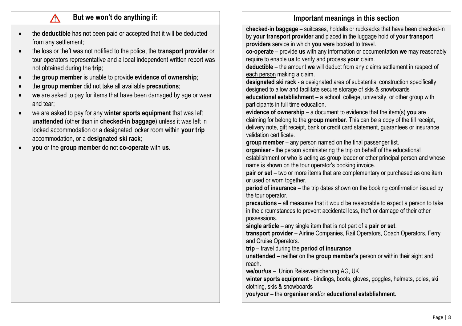- the **deductible** has not been paid or accepted that it will be deducted from any settlement;
- the loss or theft was not notified to the police, the **transport provider** or tour operators representative and a local independent written report was not obtained during the **trip**;
- the **group member** is unable to provide **evidence of ownership**;
- the **group member** did not take all available **precautions**;
- **we** are asked to pay for items that have been damaged by age or wear and tear;
- we are asked to pay for any **winter sports equipment** that was left **unattended** (other than in **checked-in baggage**) unless it was left in locked accommodation or a designated locker room within **your trip** accommodation, or a **designated ski rack**;
- **you** or the **group member** do not **co-operate** with **us**.

## **But we won't do anything if: IMPO IMPORTANT IMPORTANT IMPORTANT IMPORTANT IMPORTANT IMPORTANT IMPORTANT IMPORTANT IMPORTANT IMPORTANT IMPORTANT IMPORTANT IMPORTANT IMPORTANT IMPORTANT IMPORTANT IMPORTANT IMPORTANT IMPOR**

**checked-in baggage** – suitcases, holdalls or rucksacks that have been checked-in by **your transport provider** and placed in the luggage hold of **your transport providers** service in which **you** were booked to travel.

**co-operate** – provide **us** with any information or documentation **we** may reasonably require to enable **us** to verify and process **your** claim.

**deductible** – the amount **we** will deduct from any claims settlement in respect of each person making a claim.

**designated ski rack** - a designated area of substantial construction specifically designed to allow and facilitate secure storage of skis & snowboards

**educational establishment –** a school, college, university, or other group with participants in full time education.

**evidence of ownership** – a document to evidence that the item(s) **you** are claiming for belong to the **group member**. This can be a copy of the till receipt, delivery note, gift receipt, bank or credit card statement, guarantees or insurance validation certificate.

**group member** – any person named on the final passenger list.

**organiser** - the person administering the trip on behalf of the educational establishment or who is acting as group leader or other principal person and whose name is shown on the tour operator's booking invoice.

**pair or set** – two or more items that are complementary or purchased as one item or used or worn together.

**period of insurance** – the trip dates shown on the booking confirmation issued by the tour operator.

**precautions** – all measures that it would be reasonable to expect a person to take in the circumstances to prevent accidental loss, theft or damage of their other possessions.

**single article** – any single item that is not part of a **pair or set**.

**transport provider** – Airline Companies, Rail Operators, Coach Operators, Ferry and Cruise Operators.

**trip** – travel during the **period of insurance**.

**unattended** – neither on the **group member's** person or within their sight and reach.

**we/our/us** – Union Reiseversicherung AG, UK

winter sports equipment - bindings, boots, gloves, goggles, helmets, poles, ski clothing, skis & snowboards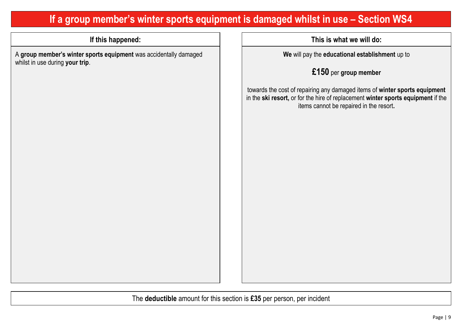## **If a group member's winter sports equipment is damaged whilst in use – Section WS4**

A **group member's winter sports equipment** was accidentally damaged whilst in use during **your trip**.

**If this happened: This is what we will do:**

**We** will pay the **educational establishment** up to

**£150** per **group member**

towards the cost of repairing any damaged items of **winter sports equipment**  in the **ski resort,** or for the hire of replacement **winter sports equipment** if the items cannot be repaired in the resort**.**

The **deductible** amount for this section is **£35** per person, per incident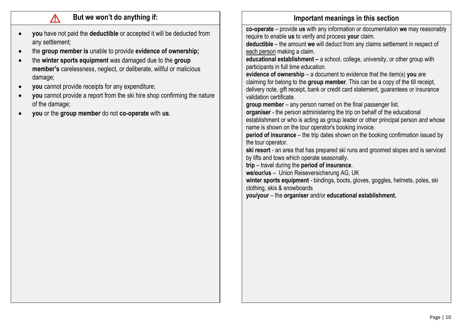- **you** have not paid the **deductible** or accepted it will be deducted from any settlement;
- the **group member is** unable to provide **evidence of ownership;**
- the **winter sports equipment** was damaged due to the **group member's** carelessness, neglect, or deliberate, willful or malicious damage;
- **you** cannot provide receipts for any expenditure;

∧

- **you** cannot provide a report from the ski hire shop confirming the nature of the damage;
- **you** or the **group member** do not **co-operate** with **us**.

### **But we won't do anything if: IMPO IMPORTANT IMPORTANT IMPORTANT IMPORTANT IMPORTANT IMPORTANT IMPORTANT IMPORTANT IMPORTANT IMPORTANT IMPORTANT IMPORTANT IMPORTANT IMPORTANT IMPORTANT IMPORTANT IMPORTANT IMPORTANT IMPOR**

**co-operate** – provide **us** with any information or documentation **we** may reasonably require to enable **us** to verify and process **your** claim.

**deductible** – the amount **we** will deduct from any claims settlement in respect of each person making a claim.

**educational establishment –** a school, college, university, or other group with participants in full time education.

**evidence of ownership** – a document to evidence that the item(s) **you** are claiming for belong to the **group member**. This can be a copy of the till receipt, delivery note, gift receipt, bank or credit card statement, guarantees or insurance validation certificate.

**group member** – any person named on the final passenger list.

**organiser** - the person administering the trip on behalf of the educational establishment or who is acting as group leader or other principal person and whose name is shown on the tour operator's booking invoice.

**period of insurance** – the trip dates shown on the booking confirmation issued by the tour operator.

**ski resort** - an area that has prepared ski runs and groomed slopes and is serviced by lifts and tows which operate seasonally.

**trip** – travel during the **period of insurance**.

**we/our/us** – Union Reiseversicherung AG, UK

winter sports equipment - bindings, boots, gloves, goggles, helmets, poles, ski clothing, skis & snowboards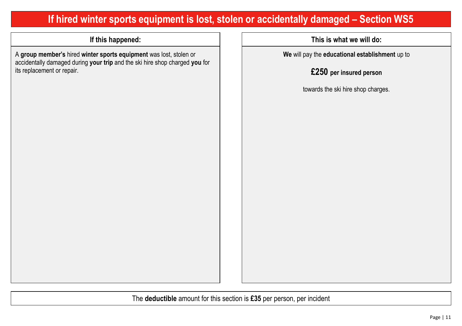## **If hired winter sports equipment is lost, stolen or accidentally damaged – Section WS5**

A **group member's** hired **winter sports equipment** was lost, stolen or accidentally damaged during **your trip** and the ski hire shop charged **you** for its replacement or repair.

**If this happened: This is what we will do:**

**We** will pay the **educational establishment** up to

**£250 per insured person**

towards the ski hire shop charges.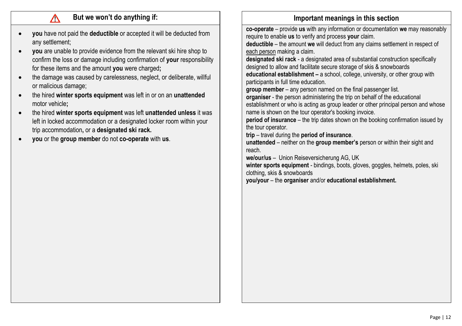∧

- **you** have not paid the **deductible** or accepted it will be deducted from any settlement;
- **you** are unable to provide evidence from the relevant ski hire shop to confirm the loss or damage including confirmation of **your** responsibility for these items and the amount **you** were charged**;**
- the damage was caused by carelessness, neglect, or deliberate, willful or malicious damage;
- the hired **winter sports equipment** was left in or on an **unattended**  motor vehicle**;**
- the hired **winter sports equipment** was left **unattended unless** it was left in locked accommodation or a designated locker room within your trip accommodation**,** or a **designated ski rack.**
- **you** or the **group member** do not **co-operate** with **us**.

## **But we won't do anything if: IMPO IMPORTANT IMPORTANT IMPORTANT IMPORTANT IMPORTANT IMPORTANT IMPORTANT IMPORTANT IMPORTANT IMPORTANT IMPORTANT IMPORTANT IMPORTANT IMPORTANT IMPORTANT IMPORTANT IMPORTANT IMPORTANT IMPOR**

**co-operate** – provide **us** with any information or documentation **we** may reasonably require to enable **us** to verify and process **your** claim.

**deductible** – the amount **we** will deduct from any claims settlement in respect of each person making a claim.

**designated ski rack** - a designated area of substantial construction specifically designed to allow and facilitate secure storage of skis & snowboards **educational establishment –** a school, college, university, or other group with

participants in full time education.

**group member** – any person named on the final passenger list.

**organiser** - the person administering the trip on behalf of the educational establishment or who is acting as group leader or other principal person and whose name is shown on the tour operator's booking invoice.

**period of insurance** – the trip dates shown on the booking confirmation issued by the tour operator.

**trip** – travel during the **period of insurance**.

**unattended** – neither on the **group member's** person or within their sight and reach.

**we/our/us** – Union Reiseversicherung AG, UK

**winter sports equipment** - bindings, boots, gloves, goggles, helmets, poles, ski clothing, skis & snowboards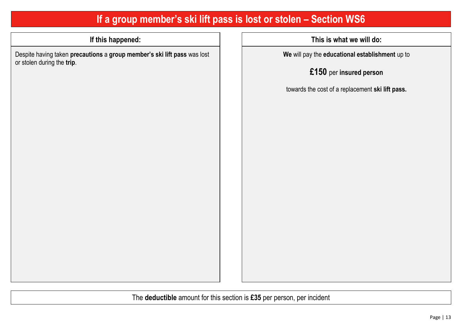## **If a group member's ski lift pass is lost or stolen – Section WS6**

Despite having taken **precautions** a **group member's ski lift pass** was lost or stolen during the **trip**.

**If this happened: This is what we will do:**

**We** will pay the **educational establishment** up to

**£150** per **insured person**

towards the cost of a replacement **ski lift pass.**

The **deductible** amount for this section is **£35** per person, per incident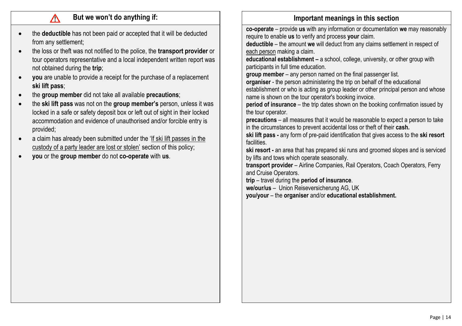- the **deductible** has not been paid or accepted that it will be deducted from any settlement;
- the loss or theft was not notified to the police, the **transport provider** or tour operators representative and a local independent written report was not obtained during the **trip**;
- **you** are unable to provide a receipt for the purchase of a replacement **ski lift pass**;
- the **group member** did not take all available **precautions**;
- the **ski lift pass** was not on the **group member's** person, unless it was locked in a safe or safety deposit box or left out of sight in their locked accommodation and evidence of unauthorised and/or forcible entry is provided;
- a claim has already been submitted under the 'If ski lift passes in the custody of a party leader are lost or stolen' section of this policy;
- **you** or the **group member** do not **co-operate** with **us**.

### **But we won't do anything if: IMPO IMPORTANT IMPORTANT IMPORTANT IMPORTANT IMPORTANT IMPORTANT IMPORTANT IMPORTANT IMPORTANT IMPORTANT IMPORTANT IMPORTANT IMPORTANT IMPORTANT IMPORTANT IMPORTANT IMPORTANT IMPORTANT IMPOR**

**co-operate** – provide **us** with any information or documentation **we** may reasonably require to enable **us** to verify and process **your** claim.

**deductible** – the amount **we** will deduct from any claims settlement in respect of each person making a claim.

**educational establishment –** a school, college, university, or other group with participants in full time education.

**group member** – any person named on the final passenger list.

**organiser** - the person administering the trip on behalf of the educational establishment or who is acting as group leader or other principal person and whose name is shown on the tour operator's booking invoice.

**period of insurance** – the trip dates shown on the booking confirmation issued by the tour operator.

**precautions** – all measures that it would be reasonable to expect a person to take in the circumstances to prevent accidental loss or theft of their **cash.**

**ski lift pass -** any form of pre-paid identification that gives access to the **ski resort**  facilities.

**ski resort -** an area that has prepared ski runs and groomed slopes and is serviced by lifts and tows which operate seasonally.

**transport provider** – Airline Companies, Rail Operators, Coach Operators, Ferry and Cruise Operators.

**trip** – travel during the **period of insurance**.

**we/our/us** – Union Reiseversicherung AG, UK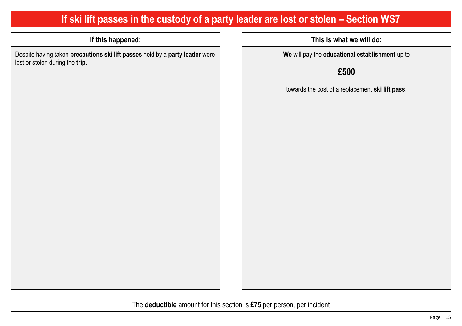## **If ski lift passes in the custody of a party leader are lost or stolen – Section WS7**

Despite having taken **precautions ski lift passes** held by a **party leader** were lost or stolen during the **trip**.

**If this happened: This is what we will do:**

**We** will pay the **educational establishment** up to

**£500**

towards the cost of a replacement **ski lift pass**.

The **deductible** amount for this section is **£75** per person, per incident